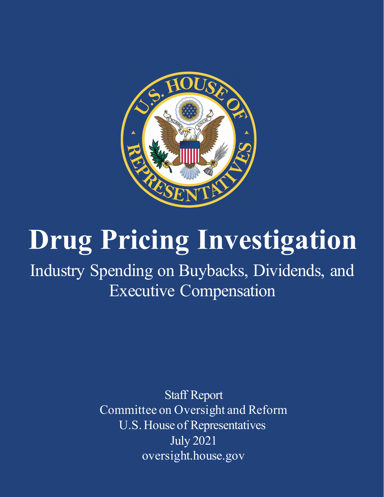

# **Drug Pricing Investigation**

Industry Spending on Buybacks, Dividends, and Executive Compensation

> Staff Report Committee on Oversight and Reform U.S. House of Representatives July 2021 oversight.house.gov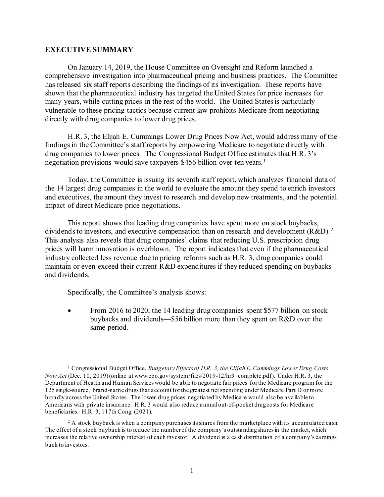#### **EXECUTIVE SUMMARY**

On January 14, 2019, the House Committee on Oversight and Reform launched a comprehensive investigation into pharmaceutical pricing and business practices. The Committee has released six staff reports describing the findings of its investigation. These reports have shown that the pharmaceutical industry has targeted the United States for price increases for many years, while cutting prices in the rest of the world. The United States is particularly vulnerable to these pricing tactics because current law prohibits Medicare from negotiating directly with drug companies to lower drug prices.

H.R. 3, the Elijah E. Cummings Lower Drug Prices Now Act, would address many of the findings in the Committee's staff reports by empowering Medicare to negotiate directly with drug companies to lower prices. The Congressional Budget Office estimates that H.R. 3's negotiation provisions would save taxpayers \$456 billion over ten years.<sup>[1](#page-1-0)</sup>

Today, the Committee is issuing its seventh staff report, which analyzes financial data of the 14 largest drug companies in the world to evaluate the amount they spend to enrich investors and executives, the amount they invest to research and develop new treatments, and the potential impact of direct Medicare price negotiations.

This report shows that leading drug companies have spent more on stock buybacks, dividends to investors, and executive compensation than on research and development (R&D).<sup>[2](#page-1-1)</sup> This analysis also reveals that drug companies' claims that reducing U.S. prescription drug prices will harm innovation is overblown. The report indicates that even if the pharmaceutical industry collected less revenue due to pricing reforms such as H.R. 3, drug companies could maintain or even exceed their current R&D expenditures if they reduced spending on buybacks and dividends.

Specifically, the Committee's analysis shows:

• From 2016 to 2020, the 14 leading drug companies spent \$577 billion on stock buybacks and dividends—\$56 billion more than they spent on R&D over the same period.

<span id="page-1-0"></span><sup>1</sup> Congressional Budget Office, *Budgetary Effects of H.R. 3, the Elijah E. Cummings Lower Drug Costs Now Act* (Dec. 10, 2019) (online a[t www.cbo.gov/system/files/2019-12/hr3\\_complete.pdf](http://www.cbo.gov/system/files/2019-12/hr3_complete.pdf)). Under H.R. 3, the Department of Health and Human Services would be able to negotiate fair prices for the Medicare program for the 125 single-source, brand-name drugs that account for the greatest net spending under Medicare Part D or more broadly across the United States. The lower drug prices negotiated by Medicare would also be available to Americans with private insurance. H.R. 3 would also reduce annual out-of-pocket drug costs for Medicare beneficiaries. H.R. 3, 117th Cong. (2021).

<span id="page-1-1"></span><sup>&</sup>lt;sup>2</sup> A stock buyback is when a company purchases its shares from the marketplace with its accumulated cash. The effect of a stock buyback is to reduce the number of the company's outstanding shares in the market, which increases the relative ownership interest of each investor. A dividend is a cash distribution of a company's earnings back to investors.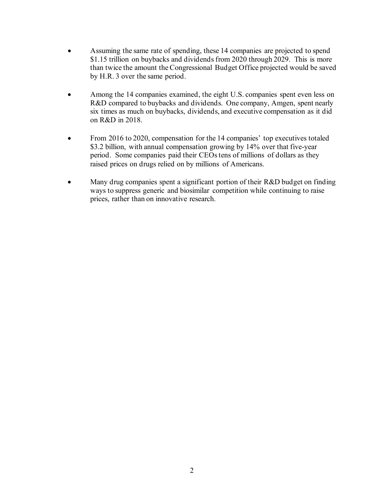- Assuming the same rate of spending, these 14 companies are projected to spend \$1.15 trillion on buybacks and dividends from 2020 through 2029. This is more than twice the amount the Congressional Budget Office projected would be saved by H.R. 3 over the same period.
- Among the 14 companies examined, the eight U.S. companies spent even less on R&D compared to buybacks and dividends. One company, Amgen, spent nearly six times as much on buybacks, dividends, and executive compensation as it did on R&D in 2018.
- From 2016 to 2020, compensation for the 14 companies' top executives totaled \$3.2 billion, with annual compensation growing by 14% over that five-year period. Some companies paid their CEOs tens of millions of dollars as they raised prices on drugs relied on by millions of Americans.
- Many drug companies spent a significant portion of their R&D budget on finding ways to suppress generic and biosimilar competition while continuing to raise prices, rather than on innovative research.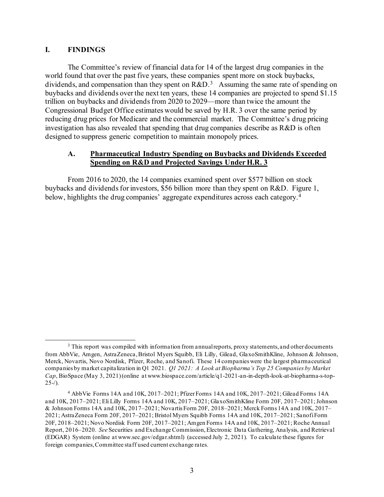## **I. FINDINGS**

The Committee's review of financial data for 14 of the largest drug companies in the world found that over the past five years, these companies spent more on stock buybacks, dividends, and compensation than they spent on R&D.<sup>[3](#page-3-0)</sup> Assuming the same rate of spending on buybacks and dividends over the next ten years, these 14 companies are projected to spend \$1.15 trillion on buybacks and dividends from 2020 to 2029—more than twice the amount the Congressional Budget Office estimates would be saved by H.R. 3 over the same period by reducing drug prices for Medicare and the commercial market. The Committee's drug pricing investigation has also revealed that spending that drug companies describe as R&D is often designed to suppress generic competition to maintain monopoly prices.

## **A. Pharmaceutical Industry Spending on Buybacks and Dividends Exceeded Spending on R&D and Projected Savings Under H.R. 3**

From 2016 to 2020, the 14 companies examined spent over \$577 billion on stock buybacks and dividends for investors, \$56 billion more than they spent on R&D. Figure 1, below, highlights the drug companies' aggregate expenditures across each category. [4](#page-3-1)

<span id="page-3-0"></span><sup>&</sup>lt;sup>3</sup> This report was compiled with information from annual reports, proxy statements, and other documents from AbbVie, Amgen, AstraZeneca, Bristol Myers Squibb, Eli Lilly, Gilead, GlaxoSmithKline, Johnson & Johnson, Merck, Novartis, Novo Nordisk, Pfizer, Roche, and Sanofi. These 14 companies were the largest pharmaceutical companies by market capitalization in Q1 2021. *Q1 2021: A Look at Biopharma's Top 25 Companies by Market Cap*, BioSpace (May 3, 2021) (online at [www.biospace.com/article/q1-2021-an-in-depth-look-at-biopharma-s-top-](https://www.biospace.com/article/q1-2021-an-in-depth-look-at-biopharma-s-top-25-/) $25-1$ .

<span id="page-3-1"></span><sup>4</sup> AbbVie Forms 14A and 10K, 2017–2021; Pfizer Forms 14A and 10K, 2017–2021; Gilead Forms 14A and 10K, 2017–2021; Eli Lilly Forms 14A and 10K, 2017–2021; GlaxoSmithKline Form 20F, 2017–2021; Johnson & Johnson Forms 14A and 10K, 2017–2021; Novartis Form 20F, 2018–2021; Merck Forms 14A and 10K, 2017– 2021; AstraZeneca Form 20F, 2017–2021; Bristol Myers Squibb Forms 14A and 10K, 2017–2021; SanofiForm 20F, 2018–2021; Novo Nordisk Form 20F, 2017–2021; Amgen Forms 14A and 10K, 2017–2021; Roche Annual Report, 2016–2020. *See* Securities and Exchange Commission, Electronic Data Gathering, Analysis, and Retrieval (EDGAR) System (online a[t www.sec.gov/edgar.shtml\)](https://www.sec.gov/edgar.shtml) (accessed July 2, 2021). To calculate these figures for foreign companies, Committee staff used current exchange rates.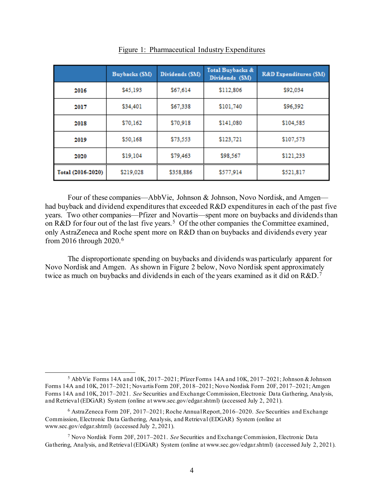|                   | Buybacks (SM) | Dividends (SM) | Total Buybacks &<br>Dividends (\$M) | <b>R&amp;D Expenditures (SM)</b> |  |  |  |
|-------------------|---------------|----------------|-------------------------------------|----------------------------------|--|--|--|
| 2016              | \$45,193      | \$67,614       | \$112,806                           | \$92,034                         |  |  |  |
| 2017              | \$34,401      | \$67,338       | \$101,740                           | \$96,392                         |  |  |  |
| 2018              | \$70,162      | \$70,918       | \$141,080                           | \$104,585                        |  |  |  |
| 2019              | \$50,168      | \$73,553       | \$123,721                           | \$107,573                        |  |  |  |
| 2020              | \$19,104      | \$79,463       | \$98,567                            | \$121.233                        |  |  |  |
| Total (2016-2020) | \$219,028     | \$358,886      | \$577,914                           | \$521,817                        |  |  |  |

Figure 1: Pharmaceutical Industry Expenditures

Four of these companies—AbbVie, Johnson & Johnson, Novo Nordisk, and Amgen had buyback and dividend expenditures that exceeded R&D expenditures in each of the past five years. Two other companies—Pfizer and Novartis—spent more on buybacks and dividends than on R&D for four out of the last five years.<sup>[5](#page-4-0)</sup> Of the other companies the Committee examined, only AstraZeneca and Roche spent more on R&D than on buybacks and dividends every year from 2016 through 2020.[6](#page-4-1)

The disproportionate spending on buybacks and dividends was particularly apparent for Novo Nordisk and Amgen. As shown in Figure 2 below, Novo Nordisk spent approximately twice as much on buybacks and dividends in each of the years examined as it did on R&D.<sup>[7](#page-4-2)</sup>

<span id="page-4-0"></span><sup>5</sup> AbbVie Forms 14A and 10K, 2017–2021; Pfizer Forms 14A and 10K, 2017–2021; Johnson & Johnson Forms 14A and 10K, 2017–2021; Novartis Form 20F, 2018–2021; Novo Nordisk Form 20F, 2017–2021; Amgen Forms 14A and 10K, 2017–2021. *See* Securities and Exchange Commission, Electronic Data Gathering, Analysis, and Retrieval (EDGAR) System (online a[t www.sec.gov/edgar.shtml\)](https://www.sec.gov/edgar.shtml) (accessed July 2, 2021).

<span id="page-4-1"></span><sup>6</sup> AstraZeneca Form 20F, 2017–2021; Roche Annual Report, 2016–2020. *See* Securities and Exchange Commission, Electronic Data Gathering, Analysis, and Retrieval (EDGAR) System (online at [www.sec.gov/edgar.shtml\)](https://www.sec.gov/edgar.shtml) (accessed July 2, 2021).

<span id="page-4-2"></span><sup>7</sup> Novo Nordisk Form 20F, 2017–2021. *See* Securities and Exchange Commission, Electronic Data Gathering, Analysis, and Retrieval (EDGAR) System (online a[t www.sec.gov/edgar.shtml\)](https://www.sec.gov/edgar.shtml) (accessed July 2, 2021).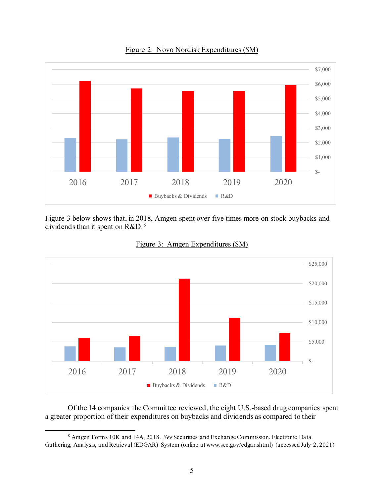

Figure 2: Novo Nordisk Expenditures (\$M)

Figure 3 below shows that, in 2018, Amgen spent over five times more on stock buybacks and dividends than it spent on R&D.[8](#page-5-0)





Of the 14 companies the Committee reviewed, the eight U.S.-based drug companies spent a greater proportion of their expenditures on buybacks and dividends as compared to their

<span id="page-5-0"></span><sup>8</sup> Amgen Forms 10K and 14A, 2018. *See* Securities and Exchange Commission, Electronic Data Gathering, Analysis, and Retrieval (EDGAR) System (online a[t www.sec.gov/edgar.shtml\)](https://www.sec.gov/edgar.shtml) (accessed July 2, 2021).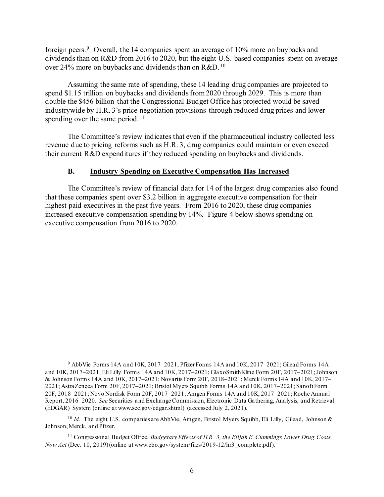foreign peers.[9](#page-6-0) Overall, the 14 companies spent an average of 10% more on buybacks and dividends than on R&D from 2016 to 2020, but the eight U.S.-based companies spent on average over 24% more on buybacks and dividends than on R&D.<sup>[10](#page-6-1)</sup>

Assuming the same rate of spending, these 14 leading drug companies are projected to spend \$1.15 trillion on buybacks and dividends from 2020 through 2029. This is more than double the \$456 billion that the Congressional Budget Office has projected would be saved industrywide by H.R. 3's price negotiation provisions through reduced drug prices and lower spending over the same period.<sup>11</sup>

The Committee's review indicates that even if the pharmaceutical industry collected less revenue due to pricing reforms such as H.R. 3, drug companies could maintain or even exceed their current R&D expenditures if they reduced spending on buybacks and dividends.

#### **B. Industry Spending on Executive Compensation Has Increased**

The Committee's review of financial data for 14 of the largest drug companies also found that these companies spent over \$3.2 billion in aggregate executive compensation for their highest paid executives in the past five years. From 2016 to 2020, these drug companies increased executive compensation spending by 14%. Figure 4 below shows spending on executive compensation from 2016 to 2020.

<span id="page-6-0"></span><sup>9</sup> AbbVie Forms 14A and 10K, 2017–2021; Pfizer Forms 14A and 10K, 2017–2021; Gilead Forms 14A and 10K, 2017–2021; Eli Lilly Forms 14A and 10K, 2017–2021; GlaxoSmithKline Form 20F, 2017–2021; Johnson & Johnson Forms 14A and 10K, 2017–2021; Novartis Form 20F, 2018–2021; Merck Forms 14A and 10K, 2017– 2021; AstraZeneca Form 20F, 2017–2021; Bristol Myers Squibb Forms 14A and 10K, 2017–2021; SanofiForm 20F, 2018–2021; Novo Nordisk Form 20F, 2017–2021; Amgen Forms 14A and 10K, 2017–2021; Roche Annual Report, 2016–2020. *See* Securities and Exchange Commission, Electronic Data Gathering, Analysis, and Retrieval (EDGAR) System (online a[t www.sec.gov/edgar.shtml\)](https://www.sec.gov/edgar.shtml) (accessed July 2, 2021).

<span id="page-6-1"></span><sup>&</sup>lt;sup>10</sup> *Id.* The eight U.S. companies are AbbVie, Amgen, Bristol Myers Squibb, Eli Lilly, Gilead, Johnson & Johnson, Merck, and Pfizer.

<span id="page-6-2"></span><sup>11</sup> Congressional Budget Office, *Budgetary Effects of H.R. 3, the Elijah E. Cummings Lower Drug Costs Now Act* (Dec. 10, 2019)(online at www.cbo.gov/system/files/2019-12/hr3\_complete.pdf).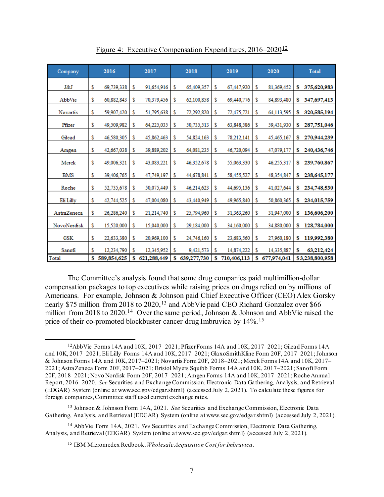| Company     |    | 2016          |    | 2017        |    | 2018        | 2019 |             | 2020 |             | <b>Total</b>    |             |
|-------------|----|---------------|----|-------------|----|-------------|------|-------------|------|-------------|-----------------|-------------|
| J&J         | \$ | 69,739,338    | s  | 91,654,916  | s  | 65,409,357  | s    | 67,447,920  | s    | 81,369,452  | s               | 375,620,983 |
| AbbVie      | s  | 60,882,843    | s  | 70,379,456  | s  | 62,100,858  | s    | 69,440,776  | s    | 84,893,480  | s               | 347,697,413 |
| Novartis    | \$ | 59,907,420    | s  | 51,795,638  | s  | 72,292,820  | \$   | 72,475,721  | \$   | 64,113,595  | s               | 320,585,194 |
| Pfizer      | \$ | 49,509,982    | s  | 64,225,035  | s  | 50,735,513  | s    | 63,848,586  | s    | 59,431,930  | s               | 287,751,046 |
| Gilead      | s  | 46,580,305    | \$ | 45,862,463  | s  | 54,824,163  | \$   | 78,212,141  | \$   | 45,465,167  | s               | 270,944,239 |
| Amgen       | \$ | 42,667,038    | s  | 39,889,202  | s  | 64,081,235  | \$   | 46,720,094  | \$   | 47,079,177  | s               | 240,436,746 |
| Merck       | s  | 49,006,321    | s  | 43,083,221  | s  | 46,352,678  | s    | 55,063,330  | s    | 46,255,317  | s               | 239,760,867 |
| BMS         | \$ | 39,406,765    | \$ | 47,749,197  | s  | 44,678,841  | \$   | 58,455,527  | \$   | 48,354,847  | s               | 238,645,177 |
| Roche       | \$ | 52,735,678    | s  | 50,075,449  | \$ | 46,214,623  | \$   | 44,695,136  | s    | 41,027,644  | s               | 234,748,530 |
| Eli Lilly   | \$ | 42,744,525    | s  | 47,004,080  | s  | 43,440,949  | s    | 49,965,840  | s    | 50,860,365  | s               | 234,015,759 |
| AstraZeneca | \$ | 26,286,240    | s  | 21,214,740  | \$ | 25,794,960  | s    | 31,363,260  | \$   | 31,947,000  | s               | 136,606,200 |
| NovoNordisk | \$ | 15,520,000    | s  | 15,040,000  | s  | 29,184,000  | \$   | 34,160,000  | \$   | 34,880,000  | s               | 128,784,000 |
| <b>GSK</b>  | \$ | 22,633,380    | s  | 20,969,100  | s  | 24,746,160  | s    | 23,683,560  | s    | 27,960,180  | s               | 119,992,380 |
| Sanofi      | \$ | 12,234,790    | s  | 12,345,952  | s  | 9,421,573   | s    | 14,874,222  | s    | 14.335,887  | s               | 63,212,424  |
| Total       |    | \$589,854,625 | s  | 621,288,449 | s  | 639,277,730 | S.   | 710,406,113 | s    | 677,974,041 | \$3,238,800,958 |             |

Figure 4: Executive Compensation Expenditures, 2016–2020<sup>[12](#page-7-0)</sup>

The Committee's analysis found that some drug companies paid multimillion-dollar compensation packages to top executives while raising prices on drugs relied on by millions of Americans. For example, Johnson & Johnson paid Chief Executive Officer (CEO) Alex Gorsky nearly \$75 million from 2018 to 2020,<sup>[13](#page-7-1)</sup> and AbbVie paid CEO Richard Gonzalez over \$66 million from 2018 to 2020.<sup>[14](#page-7-2)</sup> Over the same period, Johnson & Johnson and AbbVie raised the price of their co-promoted blockbuster cancer drug Imbruvica by 14%.<sup>[15](#page-7-3)</sup>

<span id="page-7-0"></span><sup>12</sup>AbbVie Forms 14A and 10K, 2017–2021; Pfizer Forms 14A and 10K, 2017–2021; Gilead Forms 14A and 10K, 2017–2021; Eli Lilly Forms 14A and 10K, 2017–2021; GlaxoSmithKline Form 20F, 2017–2021; Johnson & Johnson Forms 14A and 10K, 2017–2021; Novartis Form 20F, 2018–2021; Merck Forms 14A and 10K, 2017– 2021; AstraZeneca Form 20F, 2017–2021; Bristol Myers Squibb Forms 14A and 10K, 2017–2021; SanofiForm 20F, 2018–2021; Novo Nordisk Form 20F, 2017–2021; Amgen Forms 14A and 10K, 2017–2021; Roche Annual Report, 2016–2020. *See* Securities and Exchange Commission, Electronic Data Gathering, Analysis, and Retrieval (EDGAR) System (online a[t www.sec.gov/edgar.shtml\)](https://www.sec.gov/edgar.shtml) (accessed July 2, 2021). To calculate these figures for foreign companies, Committee staff used current exchange rates.

<span id="page-7-1"></span><sup>13</sup> Johnson & Johnson Form 14A, 2021. *See* Securities and Exchange Commission, Electronic Data Gathering, Analysis, and Retrieval (EDGAR) System (online a[t www.sec.gov/edgar.shtml\)](https://www.sec.gov/edgar.shtml) (accessed July 2, 2021).

<span id="page-7-3"></span><span id="page-7-2"></span><sup>14</sup> AbbVie Form 14A, 2021. *See* Securities and Exchange Commission, Electronic Data Gathering, Analysis, and Retrieval (EDGAR) System (online a[t www.sec.gov/edgar.shtml\)](https://www.sec.gov/edgar.shtml) (accessed July 2, 2021).

<sup>15</sup> IBM Micromedex Redbook, *Wholesale Acquisition Cost for Imbruvica*.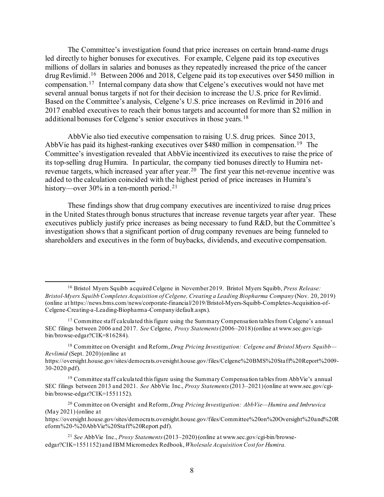The Committee's investigation found that price increases on certain brand-name drugs led directly to higher bonuses for executives. For example, Celgene paid its top executives millions of dollars in salaries and bonuses as they repeatedly increased the price of the cancer drug Revlimid.[16](#page-8-0) Between 2006 and 2018, Celgene paid its top executives over \$450 million in compensation.[17](#page-8-1) Internal company data show that Celgene's executives would not have met several annual bonus targets if not for their decision to increase the U.S. price for Revlimid. Based on the Committee's analysis, Celgene's U.S. price increases on Revlimid in 2016 and 2017 enabled executives to reach their bonus targets and accounted for more than \$2 million in additional bonuses for Celgene's senior executives in those years.[18](#page-8-2) 

AbbVie also tied executive compensation to raising U.S. drug prices. Since 2013, AbbVie has paid its highest-ranking executives over \$480 million in compensation.<sup>[19](#page-8-3)</sup> The Committee's investigation revealed that AbbVie incentivized its executives to raise the price of its top-selling drug Humira. In particular, the company tied bonuses directly to Humira net-revenue targets, which increased year after year.<sup>[20](#page-8-4)</sup> The first year this net-revenue incentive was added to the calculation coincided with the highest period of price increases in Humira's history—over 30% in a ten-month period.<sup>[21](#page-8-5)</sup>

These findings show that drug company executives are incentivized to raise drug prices in the United States through bonus structures that increase revenue targets year after year. These executives publicly justify price increases as being necessary to fund R&D, but the Committee's investigation shows that a significant portion of drug company revenues are being funneled to shareholders and executives in the form of buybacks, dividends, and executive compensation.

<span id="page-8-0"></span><sup>16</sup> Bristol Myers Squibb acquired Celgene in November 2019. Bristol Myers Squibb, *Press Release: Bristol-Myers Squibb Completes Acquisition of Celgene, Creating a Leading Biopharma Company* (Nov. 20, 2019) (online at https://news.bms.com/news/corporate-financial/2019/Bristol-Myers-Squibb-Completes-Acquisition-of-Celgene-Creating-a-Leading-Biopharma-Company/default.aspx).

<span id="page-8-1"></span> $17$  Committee staff calculated this figure using the Summary Compensation tables from Celgene's annual SEC filings between 2006 and 2017. *See* Celgene, *Proxy Statements*(2006–2018) (online at www.sec.gov/cgibin/browse-edgar?CIK=816284).

<span id="page-8-2"></span><sup>18</sup> Committee on Oversight and Reform, *Drug Pricing Investigation: Celgene and Bristol Myers Squibb— Revlimid* (Sept. 2020)(online at

[https://oversight.house.gov/sites/democrats.oversight.house.gov/files/Celgene%20BMS%20Staff%20Report%2009-](https://oversight.house.gov/sites/democrats.oversight.house.gov/files/Celgene%20BMS%20Staff%20Report%2009-30-2020.pdf) [30-2020.pdf](https://oversight.house.gov/sites/democrats.oversight.house.gov/files/Celgene%20BMS%20Staff%20Report%2009-30-2020.pdf)).

<span id="page-8-3"></span> $19$  Committee staff calculated this figure using the Summary Compensation tables from AbbVie's annual SEC filings between 2013 and 2021. *See* AbbVie Inc., *Proxy Statements* (2013–2021) (online at www.sec.gov/cgibin/browse-edgar?CIK=1551152).

<span id="page-8-4"></span><sup>20</sup> Committee on Oversight and Reform, *Drug Pricing Investigation: AbbVie—Humira and Imbruvica*  (May 2021) (online at

https://oversight.house.gov/sites/democrats.oversight.house.gov/files/Committee%20on%20Oversight%20and%20R eform%20-%20AbbVie%20Staff%20Report.pdf).

<span id="page-8-5"></span><sup>21</sup> *See* AbbVie Inc., *Proxy Statements* (2013–2020) (online a[t www.sec.gov/cgi-bin/browse](http://www.sec.gov/cgi-bin/browse-edgar?CIK=1551152)[edgar?CIK=1551152\)](http://www.sec.gov/cgi-bin/browse-edgar?CIK=1551152) and IBM Micromedex Redbook, *Wholesale Acquisition Cost for Humira.*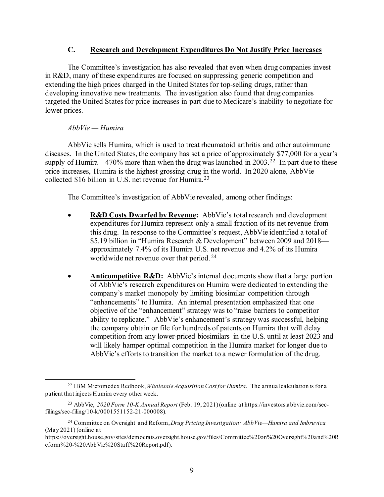# **C. Research and Development Expenditures Do Not Justify Price Increases**

The Committee's investigation has also revealed that even when drug companies invest in R&D, many of these expenditures are focused on suppressing generic competition and extending the high prices charged in the United States for top-selling drugs, rather than developing innovative new treatments. The investigation also found that drug companies targeted the United States for price increases in part due to Medicare's inability to negotiate for lower prices.

## *AbbVie — Humira*

AbbVie sells Humira, which is used to treat rheumatoid arthritis and other autoimmune diseases. In the United States, the company has set a price of approximately \$77,000 for a year's supply of Humira—470% more than when the drug was launched in  $2003<sup>22</sup>$  $2003<sup>22</sup>$  $2003<sup>22</sup>$  In part due to these price increases, Humira is the highest grossing drug in the world. In 2020 alone, AbbVie collected \$16 billion in U.S. net revenue for Humira.<sup>[23](#page-9-1)</sup>

The Committee's investigation of AbbVie revealed, among other findings:

- **R&D Costs Dwarfed by Revenue:** AbbVie's total research and development expenditures for Humira represent only a small fraction of its net revenue from this drug. In response to the Committee's request, AbbVie identified a total of \$5.19 billion in "Humira Research & Development" between 2009 and 2018 approximately 7.4% of its Humira U.S. net revenue and 4.2% of its Humira worldwide net revenue over that period.<sup>24</sup>
- **Anticompetitive R&D:** AbbVie's internal documents show that a large portion of AbbVie's research expenditures on Humira were dedicated to extending the company's market monopoly by limiting biosimilar competition through "enhancements" to Humira. An internal presentation emphasized that one objective of the "enhancement" strategy was to "raise barriers to competitor ability to replicate." AbbVie's enhancement's strategy was successful, helping the company obtain or file for hundreds of patents on Humira that will delay competition from any lower-priced biosimilars in the U.S. until at least 2023 and will likely hamper optimal competition in the Humira market for longer due to AbbVie's efforts to transition the market to a newer formulation of the drug.

<span id="page-9-0"></span><sup>22</sup> IBM Micromedex Redbook, *Wholesale Acquisition Cost for Humira.* The annual calculation is for a patient that injects Humira every other week.

<span id="page-9-1"></span><sup>23</sup> AbbVie, *2020 Form 10-K Annual Report* (Feb. 19, 2021) (online at https://investors.abbvie.com/secfilings/sec-filing/10-k/0001551152-21-000008).

<span id="page-9-2"></span><sup>24</sup> Committee on Oversight and Reform, *Drug Pricing Investigation: AbbVie—Humira and Imbruvica*  (May 2021) (online at

[https://oversight.house.gov/sites/democrats.oversight.house.gov/files/Committee%20on%20Oversight%20and%20R](https://oversight.house.gov/sites/democrats.oversight.house.gov/files/Committee%20on%20Oversight%20and%20Reform%20-%20AbbVie%20Staff%20Report.pdf) [eform%20-%20AbbVie%20Staff%20Report.pdf](https://oversight.house.gov/sites/democrats.oversight.house.gov/files/Committee%20on%20Oversight%20and%20Reform%20-%20AbbVie%20Staff%20Report.pdf)).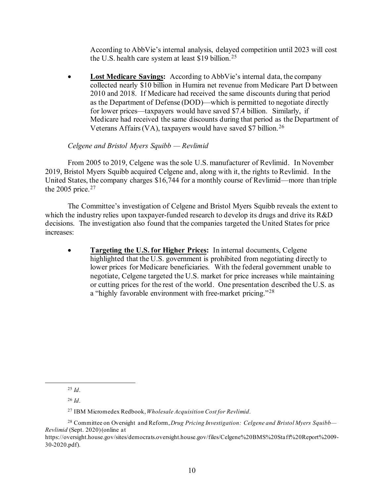According to AbbVie's internal analysis, delayed competition until 2023 will cost the U.S. health care system at least \$19 billion.<sup>[25](#page-10-0)</sup>

Lost Medicare Savings: According to AbbVie's internal data, the company collected nearly \$10 billion in Humira net revenue from Medicare Part D between 2010 and 2018. If Medicare had received the same discounts during that period as the Department of Defense (DOD)—which is permitted to negotiate directly for lower prices—taxpayers would have saved \$7.4 billion. Similarly, if Medicare had received the same discounts during that period as the Department of Veterans Affairs (VA), taxpayers would have saved \$7 billion.<sup>[26](#page-10-1)</sup>

## *Celgene and Bristol Myers Squibb — Revlimid*

From 2005 to 2019, Celgene was the sole U.S. manufacturer of Revlimid. In November 2019, Bristol Myers Squibb acquired Celgene and, along with it, the rights to Revlimid. In the United States, the company charges \$16,744 for a monthly course of Revlimid—more than triple the 2005 price. $27$ 

The Committee's investigation of Celgene and Bristol Myers Squibb reveals the extent to which the industry relies upon taxpayer-funded research to develop its drugs and drive its R&D decisions. The investigation also found that the companies targeted the United States for price increases:

• **Targeting the U.S. for Higher Prices:** In internal documents, Celgene highlighted that the U.S. government is prohibited from negotiating directly to lower prices for Medicare beneficiaries. With the federal government unable to negotiate, Celgene targeted the U.S. market for price increases while maintaining or cutting prices for the rest of the world. One presentation described the U.S. as a "highly favorable environment with free-market pricing."[28](#page-10-3)

<sup>25</sup> *Id*.

<sup>26</sup> *Id*.

<sup>27</sup> IBM Micromedex Redbook, *Wholesale Acquisition Cost for Revlimid*.

<span id="page-10-3"></span><span id="page-10-2"></span><span id="page-10-1"></span><span id="page-10-0"></span><sup>28</sup> Committee on Oversight and Reform, *Drug Pricing Investigation: Celgene and Bristol Myers Squibb— Revlimid* (Sept. 2020)(online at

[https://oversight.house.gov/sites/democrats.oversight.house.gov/files/Celgene%20BMS%20Staff%20Report%2009-](https://oversight.house.gov/sites/democrats.oversight.house.gov/files/Celgene%20BMS%20Staff%20Report%2009-30-2020.pdf) [30-2020.pdf](https://oversight.house.gov/sites/democrats.oversight.house.gov/files/Celgene%20BMS%20Staff%20Report%2009-30-2020.pdf)).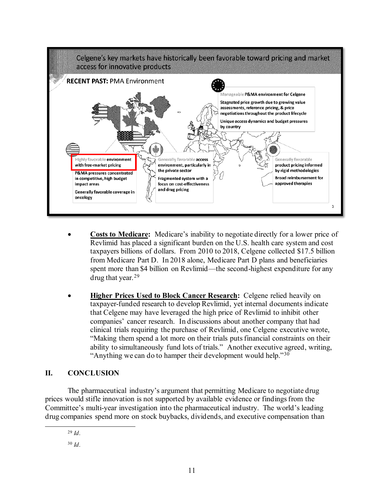

- **Costs to Medicare:** Medicare's inability to negotiate directly for a lower price of Revlimid has placed a significant burden on the U.S. health care system and cost taxpayers billions of dollars. From 2010 to 2018, Celgene collected \$17.5 billion from Medicare Part D. In 2018 alone, Medicare Part D plans and beneficiaries spent more than \$4 billion on Revlimid—the second-highest expenditure for any drug that year.[29](#page-11-0)
- **Higher Prices Used to Block Cancer Research:** Celgene relied heavily on taxpayer-funded research to develop Revlimid, yet internal documents indicate that Celgene may have leveraged the high price of Revlimid to inhibit other companies' cancer research. In discussions about another company that had clinical trials requiring the purchase of Revlimid, one Celgene executive wrote, "Making them spend a lot more on their trials puts financial constraints on their ability to simultaneously fund lots of trials." Another executive agreed, writing, "Anything we can do to hamper their development would help."[30](#page-11-1)

# **II. CONCLUSION**

<span id="page-11-0"></span>The pharmaceutical industry's argument that permitting Medicare to negotiate drug prices would stifle innovation is not supported by available evidence or findings from the Committee's multi-year investigation into the pharmaceutical industry. The world's leading drug companies spend more on stock buybacks, dividends, and executive compensation than

<sup>29</sup> *Id*.

<span id="page-11-1"></span><sup>30</sup> *Id*.